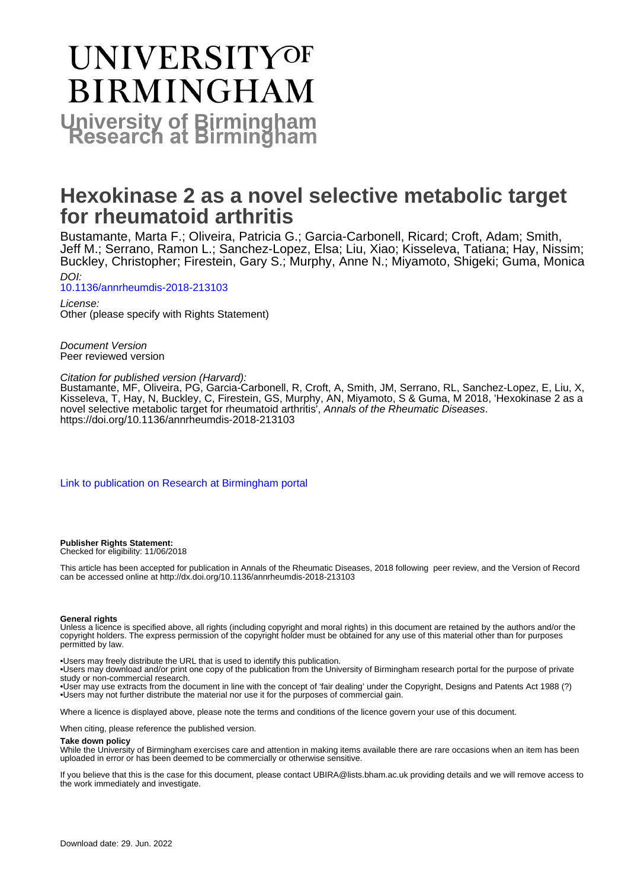# UNIVERSITYOF **BIRMINGHAM University of Birmingham**

# **Hexokinase 2 as a novel selective metabolic target for rheumatoid arthritis**

Bustamante, Marta F.; Oliveira, Patricia G.; Garcia-Carbonell, Ricard; Croft, Adam; Smith, Jeff M.; Serrano, Ramon L.; Sanchez-Lopez, Elsa; Liu, Xiao; Kisseleva, Tatiana; Hay, Nissim; Buckley, Christopher; Firestein, Gary S.; Murphy, Anne N.; Miyamoto, Shigeki; Guma, Monica DOI:

[10.1136/annrheumdis-2018-213103](https://doi.org/10.1136/annrheumdis-2018-213103)

License: Other (please specify with Rights Statement)

Document Version Peer reviewed version

#### Citation for published version (Harvard):

Bustamante, MF, Oliveira, PG, Garcia-Carbonell, R, Croft, A, Smith, JM, Serrano, RL, Sanchez-Lopez, E, Liu, X, Kisseleva, T, Hay, N, Buckley, C, Firestein, GS, Murphy, AN, Miyamoto, S & Guma, M 2018, 'Hexokinase 2 as a novel selective metabolic target for rheumatoid arthritis<sup>'</sup>, Annals of the Rheumatic Diseases. <https://doi.org/10.1136/annrheumdis-2018-213103>

[Link to publication on Research at Birmingham portal](https://birmingham.elsevierpure.com/en/publications/e448521f-8695-4fa6-acaa-c7f914586d63)

#### **Publisher Rights Statement:** Checked for eligibility: 11/06/2018

This article has been accepted for publication in Annals of the Rheumatic Diseases, 2018 following peer review, and the Version of Record can be accessed online at http://dx.doi.org/10.1136/annrheumdis-2018-213103

#### **General rights**

Unless a licence is specified above, all rights (including copyright and moral rights) in this document are retained by the authors and/or the copyright holders. The express permission of the copyright holder must be obtained for any use of this material other than for purposes permitted by law.

• Users may freely distribute the URL that is used to identify this publication.

• Users may download and/or print one copy of the publication from the University of Birmingham research portal for the purpose of private study or non-commercial research.

• User may use extracts from the document in line with the concept of 'fair dealing' under the Copyright, Designs and Patents Act 1988 (?) • Users may not further distribute the material nor use it for the purposes of commercial gain.

Where a licence is displayed above, please note the terms and conditions of the licence govern your use of this document.

When citing, please reference the published version.

#### **Take down policy**

While the University of Birmingham exercises care and attention in making items available there are rare occasions when an item has been uploaded in error or has been deemed to be commercially or otherwise sensitive.

If you believe that this is the case for this document, please contact UBIRA@lists.bham.ac.uk providing details and we will remove access to the work immediately and investigate.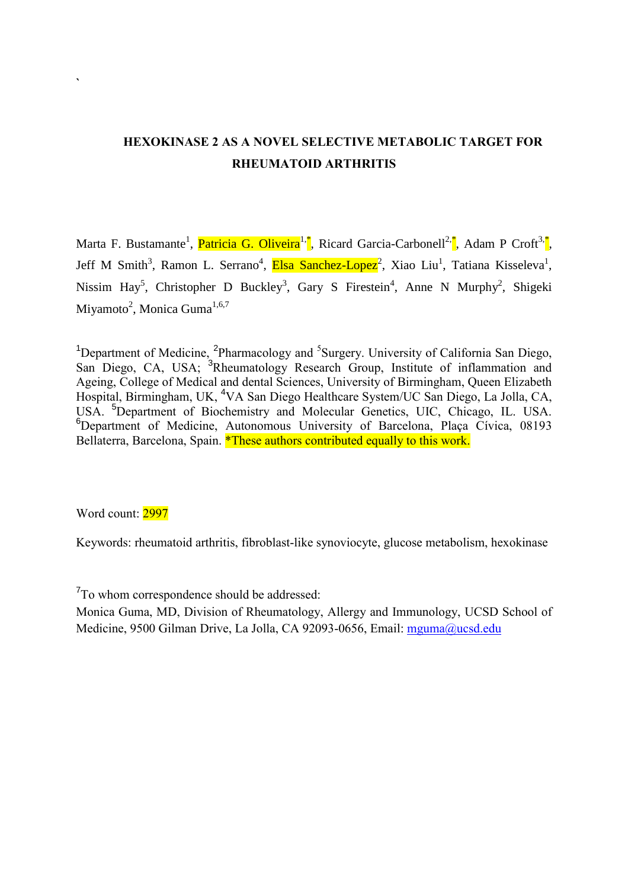## **HEXOKINASE 2 AS A NOVEL SELECTIVE METABOLIC TARGET FOR RHEUMATOID ARTHRITIS**

Marta F. Bustamante<sup>1</sup>, Patricia G. Oliveira<sup>1,\*</sup>, Ricard Garcia-Carbonell<sup>2,\*</sup>, Adam P Croft<sup>3,\*</sup>, Jeff M Smith<sup>3</sup>, Ramon L. Serrano<sup>4</sup>, Elsa Sanchez-Lopez<sup>2</sup>, Xiao Liu<sup>1</sup>, Tatiana Kisseleva<sup>1</sup>, Nissim Hay<sup>5</sup>, Christopher D Buckley<sup>3</sup>, Gary S Firestein<sup>4</sup>, Anne N Murphy<sup>2</sup>, Shigeki Miyamoto<sup>2</sup>, Monica Guma<sup>1,6,7</sup>

<sup>1</sup>Department of Medicine, <sup>2</sup>Pharmacology and <sup>5</sup>Surgery. University of California San Diego, San Diego, CA, USA; <sup>3</sup>Rheumatology Research Group, Institute of inflammation and Ageing, College of Medical and dental Sciences, University of Birmingham, Queen Elizabeth Hospital, Birmingham, UK, <sup>4</sup>VA San Diego Healthcare System/UC San Diego, La Jolla, CA, USA. <sup>5</sup>Department of Biochemistry and Molecular Genetics, UIC, Chicago, IL. USA. <sup>6</sup>Department of Medicine, Autonomous University of Barcelona, Placa Cívica, 08193 Bellaterra, Barcelona, Spain. \*These authors contributed equally to this work.

Word count: 2997

**`**

Keywords: rheumatoid arthritis, fibroblast-like synoviocyte, glucose metabolism, hexokinase

<sup>7</sup>To whom correspondence should be addressed:

Monica Guma, MD, Division of Rheumatology, Allergy and Immunology, UCSD School of Medicine, 9500 Gilman Drive, La Jolla, CA 92093-0656, Email: [mguma@ucsd.edu](mailto:mguma@ucsd.edu)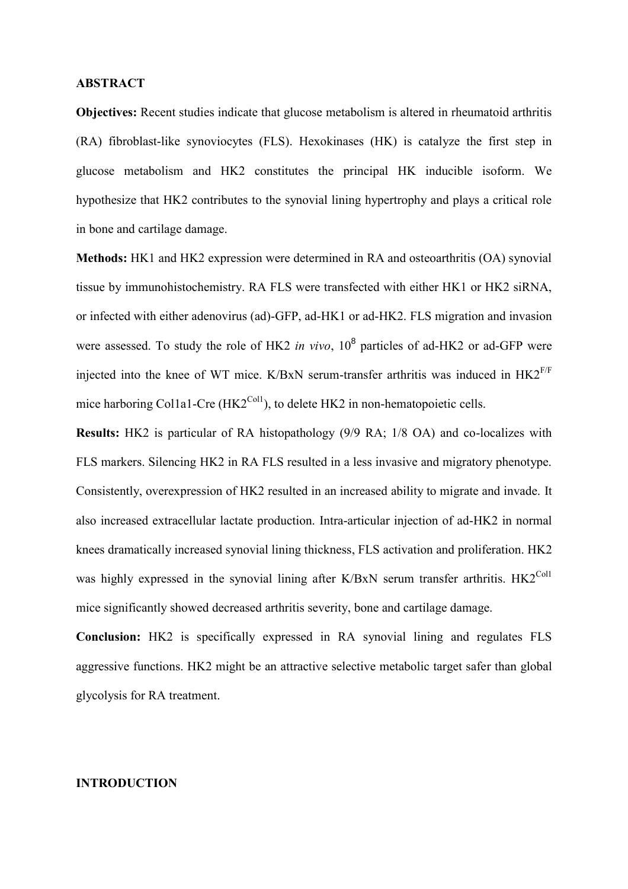#### **ABSTRACT**

**Objectives:** Recent studies indicate that glucose metabolism is altered in rheumatoid arthritis (RA) fibroblast-like synoviocytes (FLS). Hexokinases (HK) is catalyze the first step in glucose metabolism and HK2 constitutes the principal HK inducible isoform. We hypothesize that HK2 contributes to the synovial lining hypertrophy and plays a critical role in bone and cartilage damage.

**Methods:** HK1 and HK2 expression were determined in RA and osteoarthritis (OA) synovial tissue by immunohistochemistry. RA FLS were transfected with either HK1 or HK2 siRNA, or infected with either adenovirus (ad)-GFP, ad-HK1 or ad-HK2. FLS migration and invasion were assessed. To study the role of HK2 *in vivo*, 10<sup>8</sup> particles of ad-HK2 or ad-GFP were injected into the knee of WT mice. K/BxN serum-transfer arthritis was induced in  $HK2^{F/F}$ mice harboring Col1a1-Cre ( $HK2<sup>Coll</sup>$ ), to delete HK2 in non-hematopoietic cells.

**Results:** HK2 is particular of RA histopathology (9/9 RA; 1/8 OA) and co-localizes with FLS markers. Silencing HK2 in RA FLS resulted in a less invasive and migratory phenotype. Consistently, overexpression of HK2 resulted in an increased ability to migrate and invade. It also increased extracellular lactate production. Intra-articular injection of ad-HK2 in normal knees dramatically increased synovial lining thickness, FLS activation and proliferation. HK2 was highly expressed in the synovial lining after K/BxN serum transfer arthritis.  $HK2^{\text{Coll}}$ mice significantly showed decreased arthritis severity, bone and cartilage damage.

**Conclusion:** HK2 is specifically expressed in RA synovial lining and regulates FLS aggressive functions. HK2 might be an attractive selective metabolic target safer than global glycolysis for RA treatment.

## **INTRODUCTION**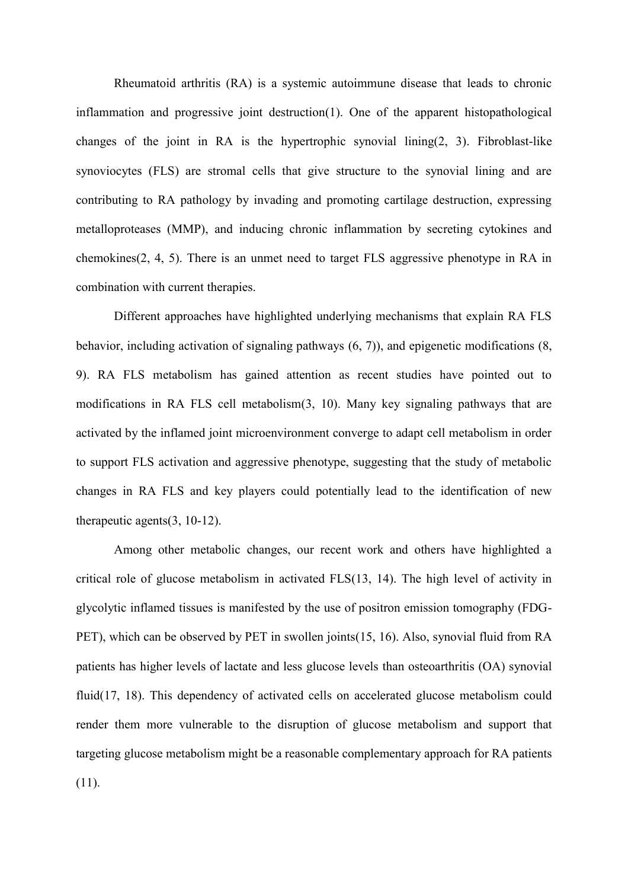Rheumatoid arthritis (RA) is a systemic autoimmune disease that leads to chronic inflammation and progressive joint destruction(1). One of the apparent histopathological changes of the joint in RA is the hypertrophic synovial lining(2, 3). Fibroblast-like synoviocytes (FLS) are stromal cells that give structure to the synovial lining and are contributing to RA pathology by invading and promoting cartilage destruction, expressing metalloproteases (MMP), and inducing chronic inflammation by secreting cytokines and chemokines(2, 4, 5). There is an unmet need to target FLS aggressive phenotype in RA in combination with current therapies.

Different approaches have highlighted underlying mechanisms that explain RA FLS behavior, including activation of signaling pathways (6, 7)), and epigenetic modifications (8, 9). RA FLS metabolism has gained attention as recent studies have pointed out to modifications in RA FLS cell metabolism(3, 10). Many key signaling pathways that are activated by the inflamed joint microenvironment converge to adapt cell metabolism in order to support FLS activation and aggressive phenotype, suggesting that the study of metabolic changes in RA FLS and key players could potentially lead to the identification of new therapeutic agents(3, 10-12).

Among other metabolic changes, our recent work and others have highlighted a critical role of glucose metabolism in activated FLS(13, 14). The high level of activity in glycolytic inflamed tissues is manifested by the use of positron emission tomography (FDG-PET), which can be observed by PET in swollen joints(15, 16). Also, synovial fluid from RA patients has higher levels of lactate and less glucose levels than osteoarthritis (OA) synovial fluid(17, 18). This dependency of activated cells on accelerated glucose metabolism could render them more vulnerable to the disruption of glucose metabolism and support that targeting glucose metabolism might be a reasonable complementary approach for RA patients (11).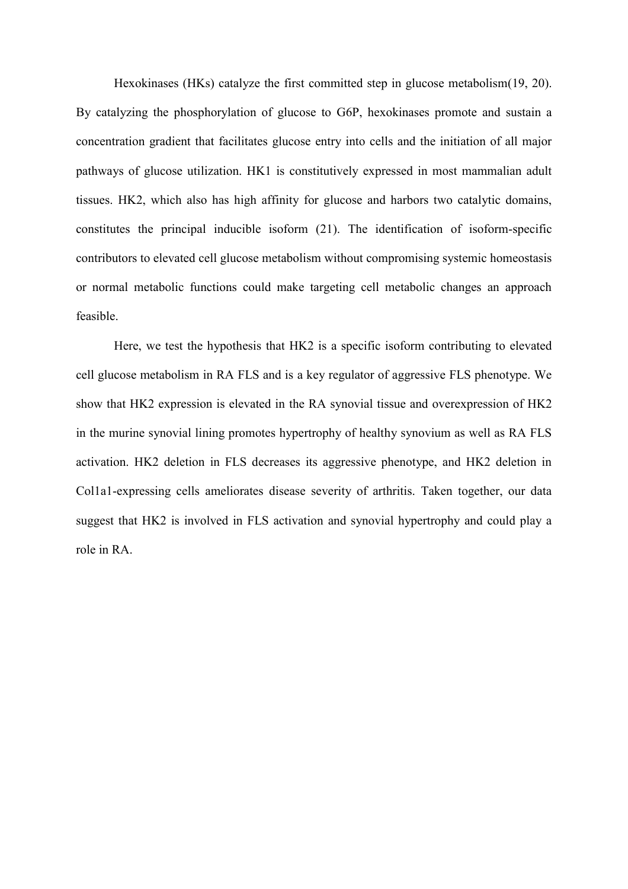Hexokinases (HKs) catalyze the first committed step in glucose metabolism(19, 20). By catalyzing the phosphorylation of glucose to G6P, hexokinases promote and sustain a concentration gradient that facilitates glucose entry into cells and the initiation of all major pathways of glucose utilization. HK1 is constitutively expressed in most mammalian adult tissues. HK2, which also has high affinity for glucose and harbors two catalytic domains, constitutes the principal inducible isoform (21). The identification of isoform-specific contributors to elevated cell glucose metabolism without compromising systemic homeostasis or normal metabolic functions could make targeting cell metabolic changes an approach feasible.

Here, we test the hypothesis that HK2 is a specific isoform contributing to elevated cell glucose metabolism in RA FLS and is a key regulator of aggressive FLS phenotype. We show that HK2 expression is elevated in the RA synovial tissue and overexpression of HK2 in the murine synovial lining promotes hypertrophy of healthy synovium as well as RA FLS activation. HK2 deletion in FLS decreases its aggressive phenotype, and HK2 deletion in Col1a1-expressing cells ameliorates disease severity of arthritis. Taken together, our data suggest that HK2 is involved in FLS activation and synovial hypertrophy and could play a role in RA.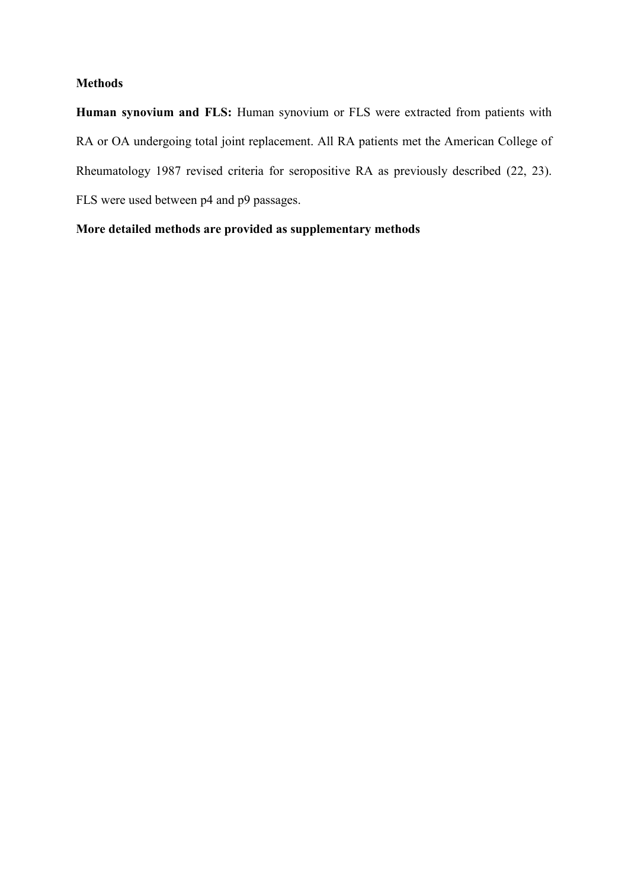### **Methods**

**Human synovium and FLS:** Human synovium or FLS were extracted from patients with RA or OA undergoing total joint replacement. All RA patients met the American College of Rheumatology 1987 revised criteria for seropositive RA as previously described (22, 23). FLS were used between p4 and p9 passages.

**More detailed methods are provided as supplementary methods**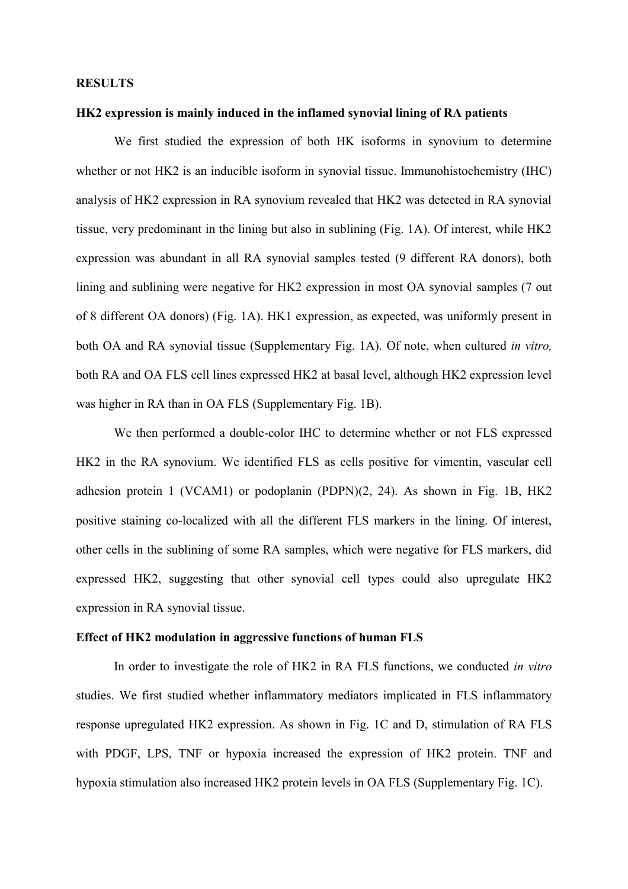#### **RESULTS**

#### **HK2 expression is mainly induced in the inflamed synovial lining of RA patients**

We first studied the expression of both HK isoforms in synovium to determine whether or not HK2 is an inducible isoform in synovial tissue. Immunohistochemistry (IHC) analysis of HK2 expression in RA synovium revealed that HK2 was detected in RA synovial tissue, very predominant in the lining but also in sublining (Fig. 1A). Of interest, while HK2 expression was abundant in all RA synovial samples tested (9 different RA donors), both lining and sublining were negative for HK2 expression in most OA synovial samples (7 out of 8 different OA donors) (Fig. 1A). HK1 expression, as expected, was uniformly present in both OA and RA synovial tissue (Supplementary Fig. 1A). Of note, when cultured *in vitro,* both RA and OA FLS cell lines expressed HK2 at basal level, although HK2 expression level was higher in RA than in OA FLS (Supplementary Fig. 1B).

We then performed a double-color IHC to determine whether or not FLS expressed HK2 in the RA synovium. We identified FLS as cells positive for vimentin, vascular cell adhesion protein 1 (VCAM1) or podoplanin (PDPN)(2, 24). As shown in Fig. 1B, HK2 positive staining co-localized with all the different FLS markers in the lining. Of interest, other cells in the sublining of some RA samples, which were negative for FLS markers, did expressed HK2, suggesting that other synovial cell types could also upregulate HK2 expression in RA synovial tissue.

#### **Effect of HK2 modulation in aggressive functions of human FLS**

In order to investigate the role of HK2 in RA FLS functions, we conducted *in vitro* studies. We first studied whether inflammatory mediators implicated in FLS inflammatory response upregulated HK2 expression. As shown in Fig. 1C and D, stimulation of RA FLS with PDGF, LPS, TNF or hypoxia increased the expression of HK2 protein. TNF and hypoxia stimulation also increased HK2 protein levels in OA FLS (Supplementary Fig. 1C).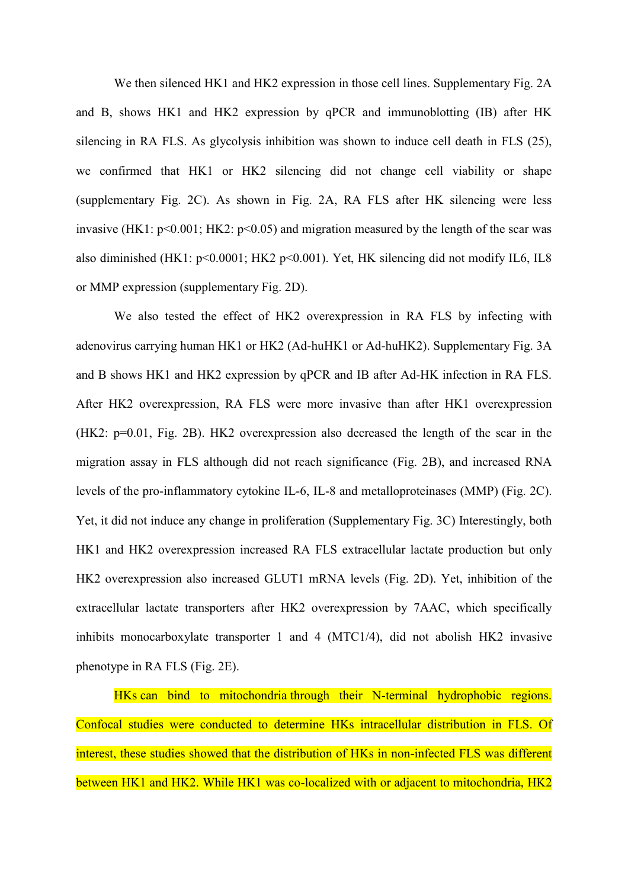We then silenced HK1 and HK2 expression in those cell lines. Supplementary Fig. 2A and B, shows HK1 and HK2 expression by qPCR and immunoblotting (IB) after HK silencing in RA FLS. As glycolysis inhibition was shown to induce cell death in FLS (25), we confirmed that HK1 or HK2 silencing did not change cell viability or shape (supplementary Fig. 2C). As shown in Fig. 2A, RA FLS after HK silencing were less invasive (HK1:  $p<0.001$ ; HK2:  $p<0.05$ ) and migration measured by the length of the scar was also diminished (HK1: p<0.0001; HK2 p<0.001). Yet, HK silencing did not modify IL6, IL8 or MMP expression (supplementary Fig. 2D).

We also tested the effect of HK2 overexpression in RA FLS by infecting with adenovirus carrying human HK1 or HK2 (Ad-huHK1 or Ad-huHK2). Supplementary Fig. 3A and B shows HK1 and HK2 expression by qPCR and IB after Ad-HK infection in RA FLS. After HK2 overexpression, RA FLS were more invasive than after HK1 overexpression (HK2: p=0.01, Fig. 2B). HK2 overexpression also decreased the length of the scar in the migration assay in FLS although did not reach significance (Fig. 2B), and increased RNA levels of the pro-inflammatory cytokine IL-6, IL-8 and metalloproteinases (MMP) (Fig. 2C). Yet, it did not induce any change in proliferation (Supplementary Fig. 3C) Interestingly, both HK1 and HK2 overexpression increased RA FLS extracellular lactate production but only HK2 overexpression also increased GLUT1 mRNA levels (Fig. 2D). Yet, inhibition of the extracellular lactate transporters after HK2 overexpression by 7AAC, which specifically inhibits monocarboxylate transporter 1 and 4 (MTC1/4), did not abolish HK2 invasive phenotype in RA FLS (Fig. 2E).

HKs can bind to mitochondria through their N-terminal hydrophobic regions. Confocal studies were conducted to determine HKs intracellular distribution in FLS. Of interest, these studies showed that the distribution of HKs in non-infected FLS was different between HK1 and HK2. While HK1 was co-localized with or adjacent to mitochondria, HK2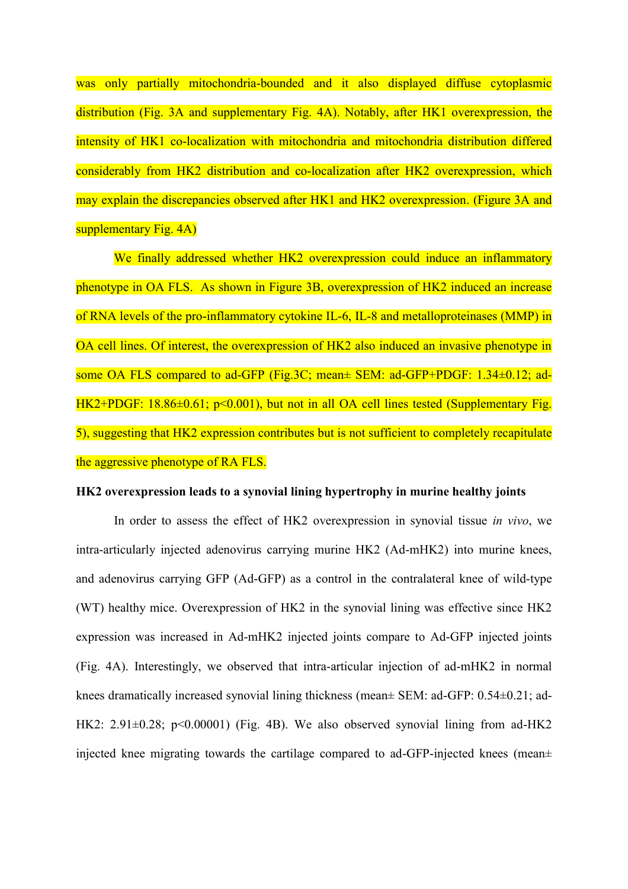was only partially mitochondria-bounded and it also displayed diffuse cytoplasmic distribution (Fig. 3A and supplementary Fig. 4A). Notably, after HK1 overexpression, the intensity of HK1 co-localization with mitochondria and mitochondria distribution differed considerably from HK2 distribution and co-localization after HK2 overexpression, which may explain the discrepancies observed after HK1 and HK2 overexpression. (Figure 3A and supplementary Fig. 4A)

We finally addressed whether HK2 overexpression could induce an inflammatory phenotype in OA FLS. As shown in Figure 3B, overexpression of HK2 induced an increase of RNA levels of the pro-inflammatory cytokine IL-6, IL-8 and metalloproteinases (MMP) in OA cell lines. Of interest, the overexpression of HK2 also induced an invasive phenotype in some OA FLS compared to ad-GFP (Fig.3C; mean± SEM: ad-GFP+PDGF: 1.34±0.12; ad-HK2+PDGF: 18.86±0.61; p<0.001), but not in all OA cell lines tested (Supplementary Fig. 5), suggesting that HK2 expression contributes but is not sufficient to completely recapitulate the aggressive phenotype of RA FLS.

#### **HK2 overexpression leads to a synovial lining hypertrophy in murine healthy joints**

In order to assess the effect of HK2 overexpression in synovial tissue *in vivo*, we intra-articularly injected adenovirus carrying murine HK2 (Ad-mHK2) into murine knees, and adenovirus carrying GFP (Ad-GFP) as a control in the contralateral knee of wild-type (WT) healthy mice. Overexpression of HK2 in the synovial lining was effective since HK2 expression was increased in Ad-mHK2 injected joints compare to Ad-GFP injected joints (Fig. 4A). Interestingly, we observed that intra-articular injection of ad-mHK2 in normal knees dramatically increased synovial lining thickness (mean± SEM: ad-GFP: 0.54±0.21; ad-HK2:  $2.91 \pm 0.28$ ;  $p \le 0.00001$ ) (Fig. 4B). We also observed synovial lining from ad-HK2 injected knee migrating towards the cartilage compared to ad-GFP-injected knees (mean±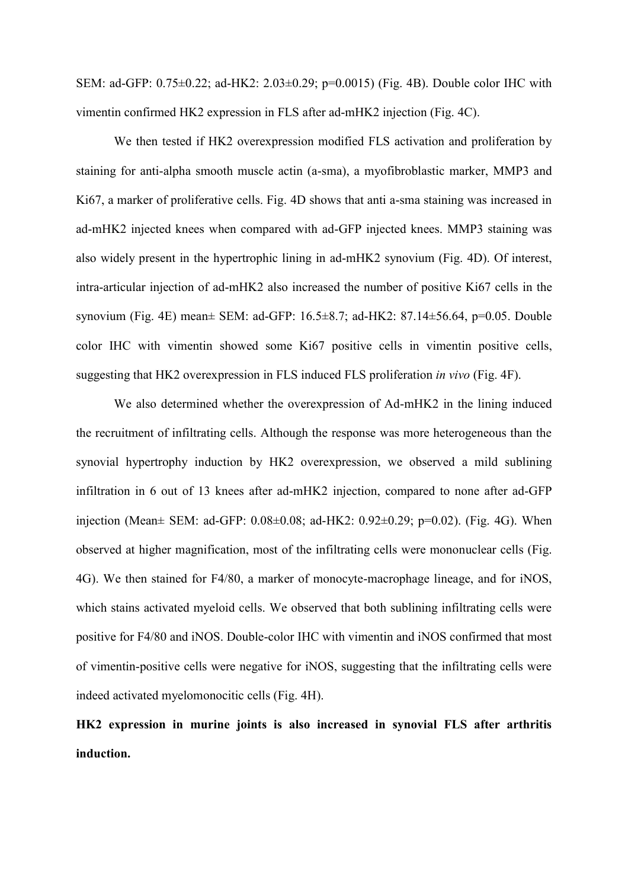SEM: ad-GFP: 0.75±0.22; ad-HK2: 2.03±0.29; p=0.0015) (Fig. 4B). Double color IHC with vimentin confirmed HK2 expression in FLS after ad-mHK2 injection (Fig. 4C).

We then tested if HK2 overexpression modified FLS activation and proliferation by staining for anti-alpha smooth muscle actin (a-sma), a myofibroblastic marker, MMP3 and Ki67, a marker of proliferative cells. Fig. 4D shows that anti a-sma staining was increased in ad-mHK2 injected knees when compared with ad-GFP injected knees. MMP3 staining was also widely present in the hypertrophic lining in ad-mHK2 synovium (Fig. 4D). Of interest, intra-articular injection of ad-mHK2 also increased the number of positive Ki67 cells in the synovium (Fig. 4E) mean± SEM: ad-GFP: 16.5±8.7; ad-HK2: 87.14±56.64, p=0.05. Double color IHC with vimentin showed some Ki67 positive cells in vimentin positive cells, suggesting that HK2 overexpression in FLS induced FLS proliferation *in vivo* (Fig. 4F).

We also determined whether the overexpression of Ad-mHK2 in the lining induced the recruitment of infiltrating cells. Although the response was more heterogeneous than the synovial hypertrophy induction by HK2 overexpression, we observed a mild sublining infiltration in 6 out of 13 knees after ad-mHK2 injection, compared to none after ad-GFP injection (Mean± SEM: ad-GFP: 0.08±0.08; ad-HK2: 0.92±0.29; p=0.02). (Fig. 4G). When observed at higher magnification, most of the infiltrating cells were mononuclear cells (Fig. 4G). We then stained for F4/80, a marker of monocyte-macrophage lineage, and for iNOS, which stains activated myeloid cells. We observed that both sublining infiltrating cells were positive for F4/80 and iNOS. Double-color IHC with vimentin and iNOS confirmed that most of vimentin-positive cells were negative for iNOS, suggesting that the infiltrating cells were indeed activated myelomonocitic cells (Fig. 4H).

**HK2 expression in murine joints is also increased in synovial FLS after arthritis induction.**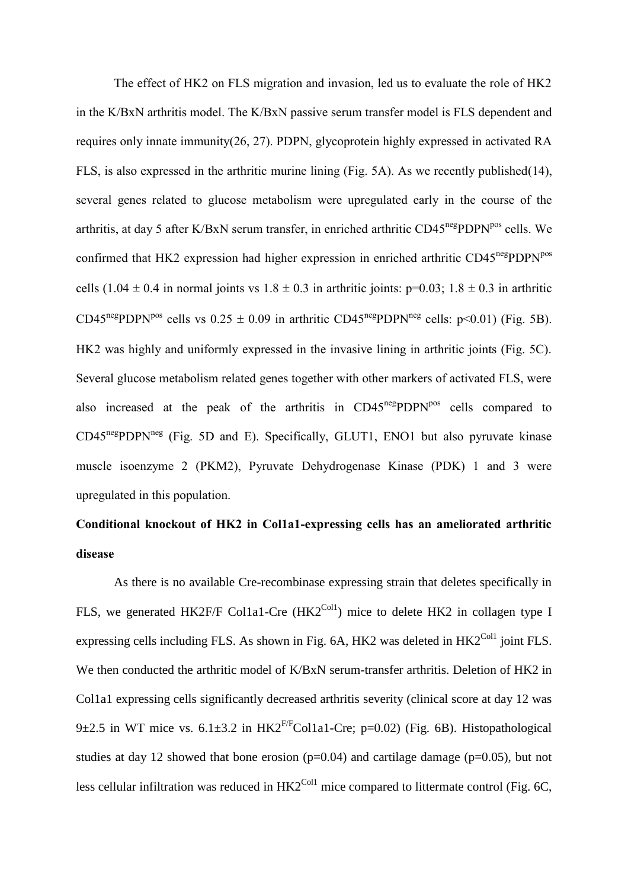The effect of HK2 on FLS migration and invasion, led us to evaluate the role of HK2 in the K/BxN arthritis model. The K/BxN passive serum transfer model is FLS dependent and requires only innate immunity(26, 27). PDPN, glycoprotein highly expressed in activated RA FLS, is also expressed in the arthritic murine lining (Fig. 5A). As we recently published(14), several genes related to glucose metabolism were upregulated early in the course of the arthritis, at day 5 after K/BxN serum transfer, in enriched arthritic CD45<sup>neg</sup>PDPN<sup>pos</sup> cells. We confirmed that HK2 expression had higher expression in enriched arthritic CD45<sup>neg</sup>PDPN<sup>pos</sup> cells (1.04  $\pm$  0.4 in normal joints vs 1.8  $\pm$  0.3 in arthritic joints: p=0.03; 1.8  $\pm$  0.3 in arthritic CD45<sup>neg</sup>PDPN<sup>pos</sup> cells vs  $0.25 \pm 0.09$  in arthritic CD45<sup>neg</sup>PDPN<sup>neg</sup> cells: p<0.01) (Fig. 5B). HK2 was highly and uniformly expressed in the invasive lining in arthritic joints (Fig. 5C). Several glucose metabolism related genes together with other markers of activated FLS, were also increased at the peak of the arthritis in CD45<sup>neg</sup>PDPN<sup>pos</sup> cells compared to  $CD45<sup>neg</sup> PDPN<sup>neg</sup>$  (Fig. 5D and E). Specifically, GLUT1, ENO1 but also pyruvate kinase muscle isoenzyme 2 (PKM2), Pyruvate Dehydrogenase Kinase (PDK) 1 and 3 were upregulated in this population.

## **Conditional knockout of HK2 in Col1a1-expressing cells has an ameliorated arthritic disease**

As there is no available Cre-recombinase expressing strain that deletes specifically in FLS, we generated HK2F/F Col1a1-Cre (HK2<sup>Col1</sup>) mice to delete HK2 in collagen type I expressing cells including FLS. As shown in Fig.  $6A$ , HK2 was deleted in HK2<sup>Col1</sup> joint FLS. We then conducted the arthritic model of K/BxN serum-transfer arthritis. Deletion of HK2 in Col1a1 expressing cells significantly decreased arthritis severity (clinical score at day 12 was 9 $\pm$ 2.5 in WT mice vs. 6.1 $\pm$ 3.2 in HK2<sup>F/F</sup>Col1a1-Cre; p=0.02) (Fig. 6B). Histopathological studies at day 12 showed that bone erosion  $(p=0.04)$  and cartilage damage  $(p=0.05)$ , but not less cellular infiltration was reduced in  $H K2^{Coll}$  mice compared to littermate control (Fig. 6C,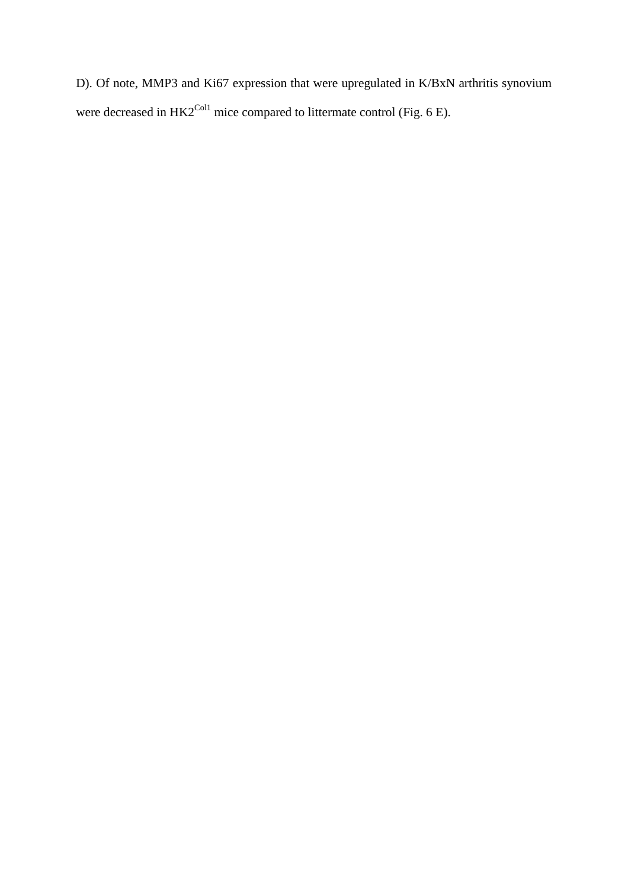D). Of note, MMP3 and Ki67 expression that were upregulated in K/BxN arthritis synovium were decreased in  $HK2^{Coll}$  mice compared to littermate control (Fig. 6 E).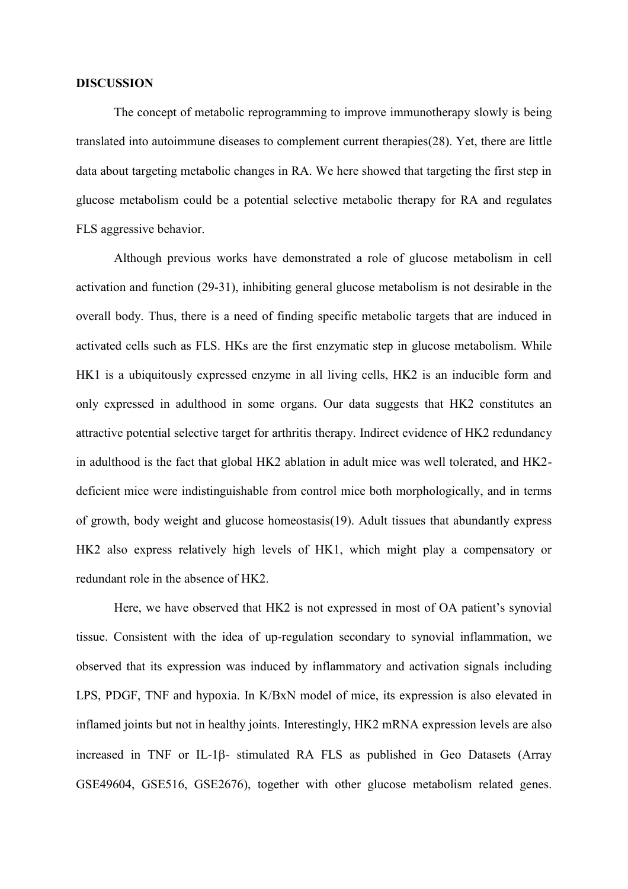#### **DISCUSSION**

The concept of metabolic reprogramming to improve immunotherapy slowly is being translated into autoimmune diseases to complement current therapies(28). Yet, there are little data about targeting metabolic changes in RA. We here showed that targeting the first step in glucose metabolism could be a potential selective metabolic therapy for RA and regulates FLS aggressive behavior.

Although previous works have demonstrated a role of glucose metabolism in cell activation and function (29-31), inhibiting general glucose metabolism is not desirable in the overall body. Thus, there is a need of finding specific metabolic targets that are induced in activated cells such as FLS. HKs are the first enzymatic step in glucose metabolism. While HK1 is a ubiquitously expressed enzyme in all living cells, HK2 is an inducible form and only expressed in adulthood in some organs. Our data suggests that HK2 constitutes an attractive potential selective target for arthritis therapy. Indirect evidence of HK2 redundancy in adulthood is the fact that global HK2 ablation in adult mice was well tolerated, and HK2 deficient mice were indistinguishable from control mice both morphologically, and in terms of growth, body weight and glucose homeostasis(19). Adult tissues that abundantly express HK2 also express relatively high levels of HK1, which might play a compensatory or redundant role in the absence of HK2.

Here, we have observed that HK2 is not expressed in most of OA patient's synovial tissue. Consistent with the idea of up-regulation secondary to synovial inflammation, we observed that its expression was induced by inflammatory and activation signals including LPS, PDGF, TNF and hypoxia. In K/BxN model of mice, its expression is also elevated in inflamed joints but not in healthy joints. Interestingly, HK2 mRNA expression levels are also increased in TNF or IL-1 $\beta$ - stimulated RA FLS as published in Geo Datasets (Array GSE49604, GSE516, GSE2676), together with other glucose metabolism related genes.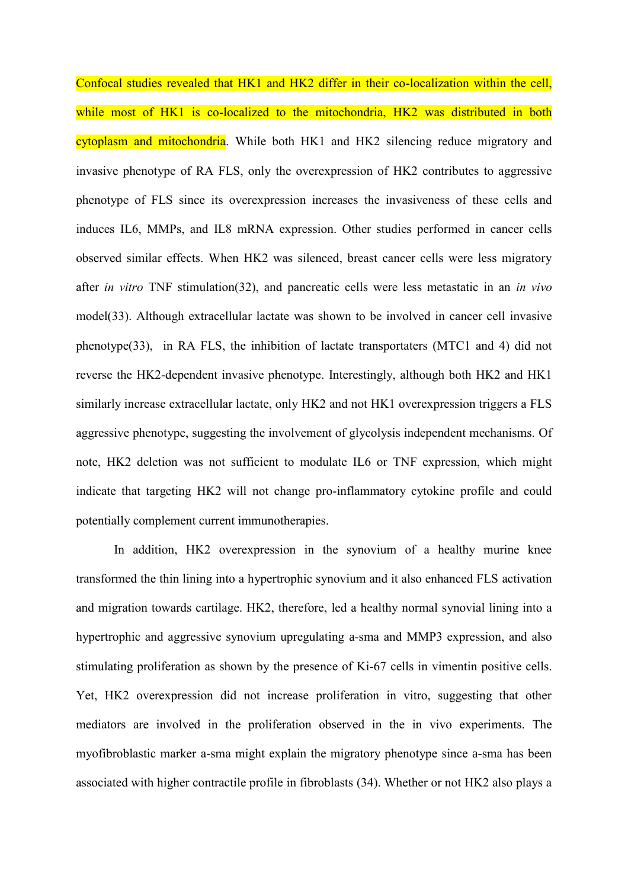Confocal studies revealed that HK1 and HK2 differ in their co-localization within the cell, while most of HK1 is co-localized to the mitochondria, HK2 was distributed in both cytoplasm and mitochondria. While both HK1 and HK2 silencing reduce migratory and invasive phenotype of RA FLS, only the overexpression of HK2 contributes to aggressive phenotype of FLS since its overexpression increases the invasiveness of these cells and induces IL6, MMPs, and IL8 mRNA expression. Other studies performed in cancer cells observed similar effects. When HK2 was silenced, breast cancer cells were less migratory after *in vitro* TNF stimulation(32), and pancreatic cells were less metastatic in an *in vivo* model(33). Although extracellular lactate was shown to be involved in cancer cell invasive phenotype(33), in RA FLS, the inhibition of lactate transportaters (MTC1 and 4) did not reverse the HK2-dependent invasive phenotype. Interestingly, although both HK2 and HK1 similarly increase extracellular lactate, only HK2 and not HK1 overexpression triggers a FLS aggressive phenotype, suggesting the involvement of glycolysis independent mechanisms. Of note, HK2 deletion was not sufficient to modulate IL6 or TNF expression, which might indicate that targeting HK2 will not change pro-inflammatory cytokine profile and could potentially complement current immunotherapies.

In addition, HK2 overexpression in the synovium of a healthy murine knee transformed the thin lining into a hypertrophic synovium and it also enhanced FLS activation and migration towards cartilage. HK2, therefore, led a healthy normal synovial lining into a hypertrophic and aggressive synovium upregulating a-sma and MMP3 expression, and also stimulating proliferation as shown by the presence of Ki-67 cells in vimentin positive cells. Yet, HK2 overexpression did not increase proliferation in vitro, suggesting that other mediators are involved in the proliferation observed in the in vivo experiments. The myofibroblastic marker a-sma might explain the migratory phenotype since a-sma has been associated with higher contractile profile in fibroblasts (34). Whether or not HK2 also plays a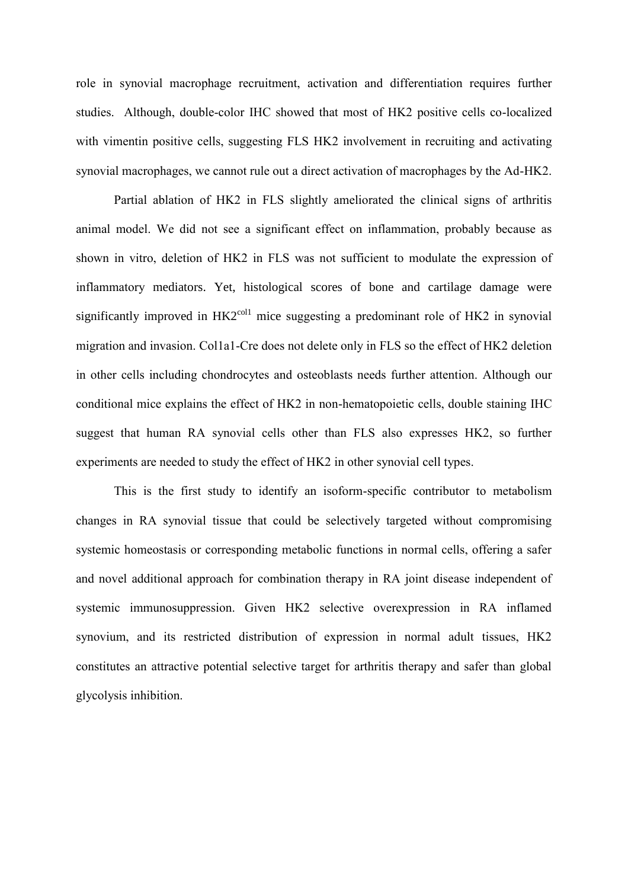role in synovial macrophage recruitment, activation and differentiation requires further studies. Although, double-color IHC showed that most of HK2 positive cells co-localized with vimentin positive cells, suggesting FLS HK2 involvement in recruiting and activating synovial macrophages, we cannot rule out a direct activation of macrophages by the Ad-HK2.

Partial ablation of HK2 in FLS slightly ameliorated the clinical signs of arthritis animal model. We did not see a significant effect on inflammation, probably because as shown in vitro, deletion of HK2 in FLS was not sufficient to modulate the expression of inflammatory mediators. Yet, histological scores of bone and cartilage damage were significantly improved in  $HK2<sup>coll</sup>$  mice suggesting a predominant role of HK2 in synovial migration and invasion. Col1a1-Cre does not delete only in FLS so the effect of HK2 deletion in other cells including chondrocytes and osteoblasts needs further attention. Although our conditional mice explains the effect of HK2 in non-hematopoietic cells, double staining IHC suggest that human RA synovial cells other than FLS also expresses HK2, so further experiments are needed to study the effect of HK2 in other synovial cell types.

This is the first study to identify an isoform-specific contributor to metabolism changes in RA synovial tissue that could be selectively targeted without compromising systemic homeostasis or corresponding metabolic functions in normal cells, offering a safer and novel additional approach for combination therapy in RA joint disease independent of systemic immunosuppression. Given HK2 selective overexpression in RA inflamed synovium, and its restricted distribution of expression in normal adult tissues, HK2 constitutes an attractive potential selective target for arthritis therapy and safer than global glycolysis inhibition.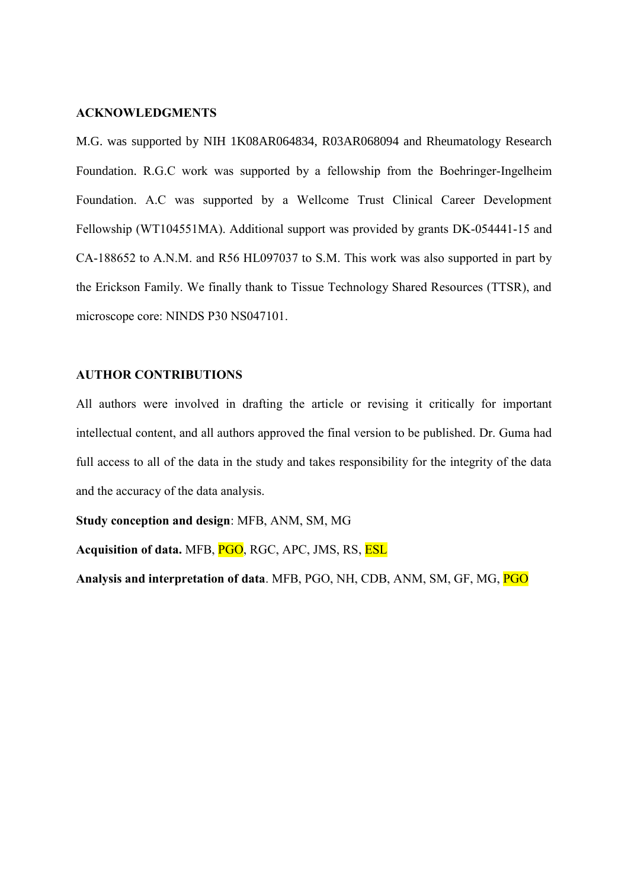#### **ACKNOWLEDGMENTS**

M.G. was supported by NIH 1K08AR064834, R03AR068094 and Rheumatology Research Foundation. R.G.C work was supported by a fellowship from the Boehringer-Ingelheim Foundation. A.C was supported by a Wellcome Trust Clinical Career Development Fellowship (WT104551MA). Additional support was provided by grants DK-054441-15 and CA-188652 to A.N.M. and R56 HL097037 to S.M. This work was also supported in part by the Erickson Family. We finally thank to Tissue Technology Shared Resources (TTSR), and microscope core: NINDS P30 NS047101.

#### **AUTHOR CONTRIBUTIONS**

All authors were involved in drafting the article or revising it critically for important intellectual content, and all authors approved the final version to be published. Dr. Guma had full access to all of the data in the study and takes responsibility for the integrity of the data and the accuracy of the data analysis.

**Study conception and design**: MFB, ANM, SM, MG

**Acquisition of data.** MFB, PGO, RGC, APC, JMS, RS, ESL

**Analysis and interpretation of data**. MFB, PGO, NH, CDB, ANM, SM, GF, MG, PGO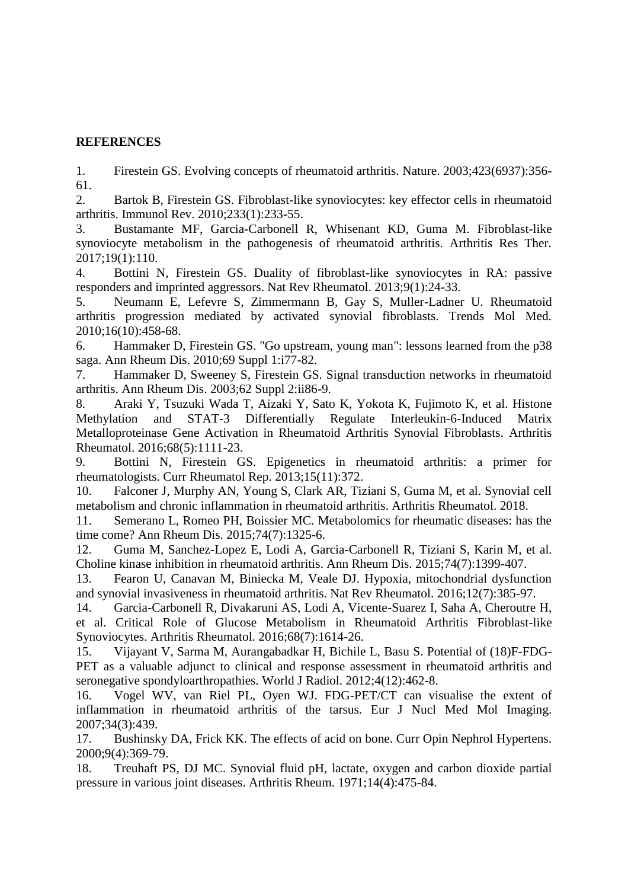## **REFERENCES**

1. Firestein GS. Evolving concepts of rheumatoid arthritis. Nature. 2003;423(6937):356- 61.

2. Bartok B, Firestein GS. Fibroblast-like synoviocytes: key effector cells in rheumatoid arthritis. Immunol Rev. 2010;233(1):233-55.

3. Bustamante MF, Garcia-Carbonell R, Whisenant KD, Guma M. Fibroblast-like synoviocyte metabolism in the pathogenesis of rheumatoid arthritis. Arthritis Res Ther. 2017;19(1):110.

4. Bottini N, Firestein GS. Duality of fibroblast-like synoviocytes in RA: passive responders and imprinted aggressors. Nat Rev Rheumatol. 2013;9(1):24-33.

5. Neumann E, Lefevre S, Zimmermann B, Gay S, Muller-Ladner U. Rheumatoid arthritis progression mediated by activated synovial fibroblasts. Trends Mol Med. 2010;16(10):458-68.

6. Hammaker D, Firestein GS. "Go upstream, young man": lessons learned from the p38 saga. Ann Rheum Dis. 2010;69 Suppl 1:i77-82.

7. Hammaker D, Sweeney S, Firestein GS. Signal transduction networks in rheumatoid arthritis. Ann Rheum Dis. 2003;62 Suppl 2:ii86-9.

8. Araki Y, Tsuzuki Wada T, Aizaki Y, Sato K, Yokota K, Fujimoto K, et al. Histone Methylation and STAT-3 Differentially Regulate Interleukin-6-Induced Matrix Metalloproteinase Gene Activation in Rheumatoid Arthritis Synovial Fibroblasts. Arthritis Rheumatol. 2016;68(5):1111-23.

9. Bottini N, Firestein GS. Epigenetics in rheumatoid arthritis: a primer for rheumatologists. Curr Rheumatol Rep. 2013;15(11):372.

10. Falconer J, Murphy AN, Young S, Clark AR, Tiziani S, Guma M, et al. Synovial cell metabolism and chronic inflammation in rheumatoid arthritis. Arthritis Rheumatol. 2018.

11. Semerano L, Romeo PH, Boissier MC. Metabolomics for rheumatic diseases: has the time come? Ann Rheum Dis. 2015;74(7):1325-6.

12. Guma M, Sanchez-Lopez E, Lodi A, Garcia-Carbonell R, Tiziani S, Karin M, et al. Choline kinase inhibition in rheumatoid arthritis. Ann Rheum Dis. 2015;74(7):1399-407.

13. Fearon U, Canavan M, Biniecka M, Veale DJ. Hypoxia, mitochondrial dysfunction and synovial invasiveness in rheumatoid arthritis. Nat Rev Rheumatol. 2016;12(7):385-97.

14. Garcia-Carbonell R, Divakaruni AS, Lodi A, Vicente-Suarez I, Saha A, Cheroutre H, et al. Critical Role of Glucose Metabolism in Rheumatoid Arthritis Fibroblast-like Synoviocytes. Arthritis Rheumatol. 2016;68(7):1614-26.

15. Vijayant V, Sarma M, Aurangabadkar H, Bichile L, Basu S. Potential of (18)F-FDG-PET as a valuable adjunct to clinical and response assessment in rheumatoid arthritis and seronegative spondyloarthropathies. World J Radiol. 2012;4(12):462-8.

16. Vogel WV, van Riel PL, Oyen WJ. FDG-PET/CT can visualise the extent of inflammation in rheumatoid arthritis of the tarsus. Eur J Nucl Med Mol Imaging. 2007;34(3):439.

17. Bushinsky DA, Frick KK. The effects of acid on bone. Curr Opin Nephrol Hypertens. 2000;9(4):369-79.

18. Treuhaft PS, DJ MC. Synovial fluid pH, lactate, oxygen and carbon dioxide partial pressure in various joint diseases. Arthritis Rheum. 1971;14(4):475-84.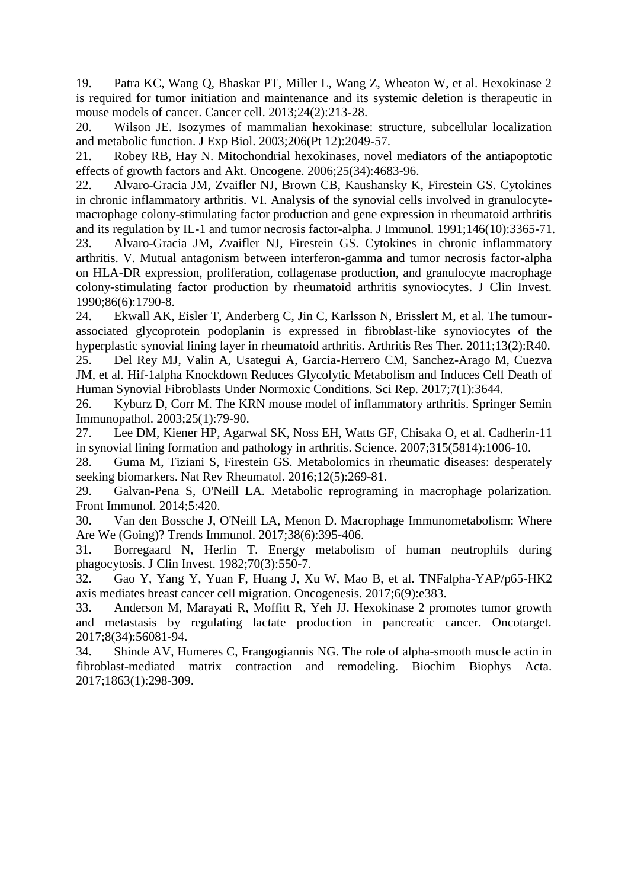19. Patra KC, Wang Q, Bhaskar PT, Miller L, Wang Z, Wheaton W, et al. Hexokinase 2 is required for tumor initiation and maintenance and its systemic deletion is therapeutic in mouse models of cancer. Cancer cell. 2013;24(2):213-28.

20. Wilson JE. Isozymes of mammalian hexokinase: structure, subcellular localization and metabolic function. J Exp Biol. 2003;206(Pt 12):2049-57.

21. Robey RB, Hay N. Mitochondrial hexokinases, novel mediators of the antiapoptotic effects of growth factors and Akt. Oncogene. 2006;25(34):4683-96.

22. Alvaro-Gracia JM, Zvaifler NJ, Brown CB, Kaushansky K, Firestein GS. Cytokines in chronic inflammatory arthritis. VI. Analysis of the synovial cells involved in granulocytemacrophage colony-stimulating factor production and gene expression in rheumatoid arthritis and its regulation by IL-1 and tumor necrosis factor-alpha. J Immunol. 1991;146(10):3365-71.

23. Alvaro-Gracia JM, Zvaifler NJ, Firestein GS. Cytokines in chronic inflammatory arthritis. V. Mutual antagonism between interferon-gamma and tumor necrosis factor-alpha on HLA-DR expression, proliferation, collagenase production, and granulocyte macrophage colony-stimulating factor production by rheumatoid arthritis synoviocytes. J Clin Invest. 1990;86(6):1790-8.

24. Ekwall AK, Eisler T, Anderberg C, Jin C, Karlsson N, Brisslert M, et al. The tumourassociated glycoprotein podoplanin is expressed in fibroblast-like synoviocytes of the hyperplastic synovial lining layer in rheumatoid arthritis. Arthritis Res Ther. 2011;13(2):R40.

25. Del Rey MJ, Valin A, Usategui A, Garcia-Herrero CM, Sanchez-Arago M, Cuezva JM, et al. Hif-1alpha Knockdown Reduces Glycolytic Metabolism and Induces Cell Death of Human Synovial Fibroblasts Under Normoxic Conditions. Sci Rep. 2017;7(1):3644.

26. Kyburz D, Corr M. The KRN mouse model of inflammatory arthritis. Springer Semin Immunopathol. 2003;25(1):79-90.

27. Lee DM, Kiener HP, Agarwal SK, Noss EH, Watts GF, Chisaka O, et al. Cadherin-11 in synovial lining formation and pathology in arthritis. Science. 2007;315(5814):1006-10.

28. Guma M, Tiziani S, Firestein GS. Metabolomics in rheumatic diseases: desperately seeking biomarkers. Nat Rev Rheumatol. 2016;12(5):269-81.

29. Galvan-Pena S, O'Neill LA. Metabolic reprograming in macrophage polarization. Front Immunol. 2014;5:420.

30. Van den Bossche J, O'Neill LA, Menon D. Macrophage Immunometabolism: Where Are We (Going)? Trends Immunol. 2017;38(6):395-406.

31. Borregaard N, Herlin T. Energy metabolism of human neutrophils during phagocytosis. J Clin Invest. 1982;70(3):550-7.

32. Gao Y, Yang Y, Yuan F, Huang J, Xu W, Mao B, et al. TNFalpha-YAP/p65-HK2 axis mediates breast cancer cell migration. Oncogenesis. 2017;6(9):e383.

33. Anderson M, Marayati R, Moffitt R, Yeh JJ. Hexokinase 2 promotes tumor growth and metastasis by regulating lactate production in pancreatic cancer. Oncotarget. 2017;8(34):56081-94.

34. Shinde AV, Humeres C, Frangogiannis NG. The role of alpha-smooth muscle actin in fibroblast-mediated matrix contraction and remodeling. Biochim Biophys Acta. 2017;1863(1):298-309.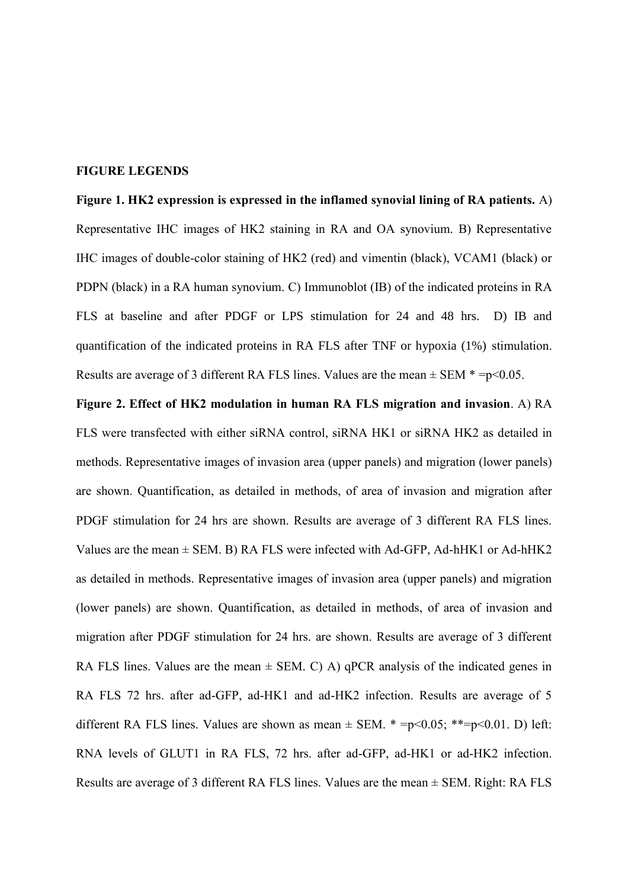#### **FIGURE LEGENDS**

**Figure 1. HK2 expression is expressed in the inflamed synovial lining of RA patients.** A) Representative IHC images of HK2 staining in RA and OA synovium. B) Representative IHC images of double-color staining of HK2 (red) and vimentin (black), VCAM1 (black) or PDPN (black) in a RA human synovium. C) Immunoblot (IB) of the indicated proteins in RA FLS at baseline and after PDGF or LPS stimulation for 24 and 48 hrs. D) IB and quantification of the indicated proteins in RA FLS after TNF or hypoxia (1%) stimulation. Results are average of 3 different RA FLS lines. Values are the mean  $\pm$  SEM  $* = p \le 0.05$ .

**Figure 2. Effect of HK2 modulation in human RA FLS migration and invasion**. A) RA FLS were transfected with either siRNA control, siRNA HK1 or siRNA HK2 as detailed in methods. Representative images of invasion area (upper panels) and migration (lower panels) are shown. Quantification, as detailed in methods, of area of invasion and migration after PDGF stimulation for 24 hrs are shown. Results are average of 3 different RA FLS lines. Values are the mean  $\pm$  SEM. B) RA FLS were infected with Ad-GFP, Ad-hHK1 or Ad-hHK2 as detailed in methods. Representative images of invasion area (upper panels) and migration (lower panels) are shown. Quantification, as detailed in methods, of area of invasion and migration after PDGF stimulation for 24 hrs. are shown. Results are average of 3 different RA FLS lines. Values are the mean  $\pm$  SEM. C) A) qPCR analysis of the indicated genes in RA FLS 72 hrs. after ad-GFP, ad-HK1 and ad-HK2 infection. Results are average of 5 different RA FLS lines. Values are shown as mean  $\pm$  SEM.  $* = p \le 0.05$ ;  $** = p \le 0.01$ . D) left: RNA levels of GLUT1 in RA FLS, 72 hrs. after ad-GFP, ad-HK1 or ad-HK2 infection. Results are average of 3 different RA FLS lines. Values are the mean ± SEM. Right: RA FLS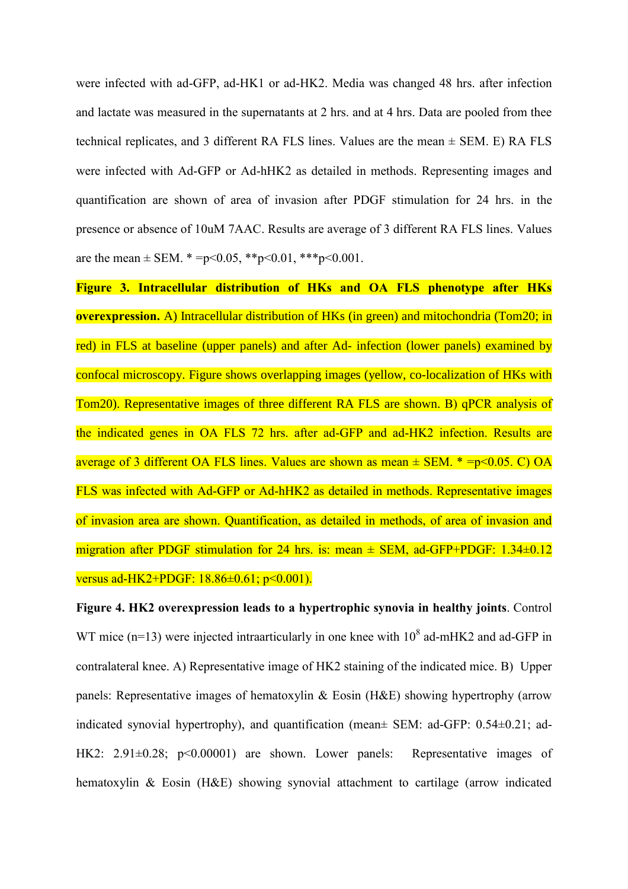were infected with ad-GFP, ad-HK1 or ad-HK2. Media was changed 48 hrs. after infection and lactate was measured in the supernatants at 2 hrs. and at 4 hrs. Data are pooled from thee technical replicates, and 3 different RA FLS lines. Values are the mean ± SEM. E) RA FLS were infected with Ad-GFP or Ad-hHK2 as detailed in methods. Representing images and quantification are shown of area of invasion after PDGF stimulation for 24 hrs. in the presence or absence of 10uM 7AAC. Results are average of 3 different RA FLS lines. Values are the mean  $\pm$  SEM.  $* = p \le 0.05$ ,  $* * p \le 0.01$ ,  $* * * p \le 0.001$ .

**Figure 3. Intracellular distribution of HKs and OA FLS phenotype after HKs overexpression.** A) Intracellular distribution of HKs (in green) and mitochondria (Tom20; in red) in FLS at baseline (upper panels) and after Ad- infection (lower panels) examined by confocal microscopy. Figure shows overlapping images (yellow, co-localization of HKs with Tom20). Representative images of three different RA FLS are shown. B) qPCR analysis of the indicated genes in OA FLS 72 hrs. after ad-GFP and ad-HK2 infection. Results are average of 3 different OA FLS lines. Values are shown as mean  $\pm$  SEM.  $* = p \le 0.05$ . C) OA FLS was infected with Ad-GFP or Ad-hHK2 as detailed in methods. Representative images of invasion area are shown. Quantification, as detailed in methods, of area of invasion and migration after PDGF stimulation for 24 hrs. is: mean  $\pm$  SEM, ad-GFP+PDGF: 1.34 $\pm$ 0.12 versus ad-HK2+PDGF: 18.86±0.61; p<0.001).

**Figure 4. HK2 overexpression leads to a hypertrophic synovia in healthy joints**. Control WT mice ( $n=13$ ) were injected intraarticularly in one knee with  $10^8$  ad-mHK2 and ad-GFP in contralateral knee. A) Representative image of HK2 staining of the indicated mice. B) Upper panels: Representative images of hematoxylin & Eosin (H&E) showing hypertrophy (arrow indicated synovial hypertrophy), and quantification (mean± SEM: ad-GFP: 0.54±0.21; ad-HK2: 2.91 $\pm$ 0.28; p<0.00001) are shown. Lower panels: Representative images of hematoxylin & Eosin (H&E) showing synovial attachment to cartilage (arrow indicated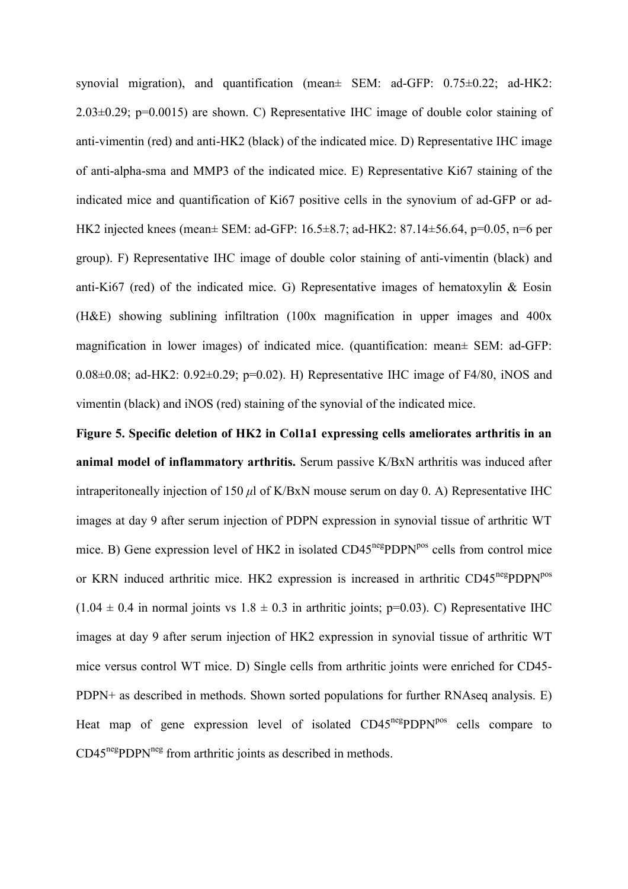synovial migration), and quantification (mean± SEM: ad-GFP: 0.75±0.22; ad-HK2: 2.03±0.29; p=0.0015) are shown. C) Representative IHC image of double color staining of anti-vimentin (red) and anti-HK2 (black) of the indicated mice. D) Representative IHC image of anti-alpha-sma and MMP3 of the indicated mice. E) Representative Ki67 staining of the indicated mice and quantification of Ki67 positive cells in the synovium of ad-GFP or ad-HK2 injected knees (mean± SEM: ad-GFP: 16.5±8.7; ad-HK2: 87.14±56.64, p=0.05, n=6 per group). F) Representative IHC image of double color staining of anti-vimentin (black) and anti-Ki67 (red) of the indicated mice. G) Representative images of hematoxylin  $\&$  Eosin (H&E) showing sublining infiltration (100x magnification in upper images and 400x magnification in lower images) of indicated mice. (quantification: mean± SEM: ad-GFP: 0.08 $\pm$ 0.08; ad-HK2: 0.92 $\pm$ 0.29; p=0.02). H) Representative IHC image of F4/80, iNOS and vimentin (black) and iNOS (red) staining of the synovial of the indicated mice.

**Figure 5. Specific deletion of HK2 in Col1a1 expressing cells ameliorates arthritis in an animal model of inflammatory arthritis.** Serum passive K/BxN arthritis was induced after intraperitoneally injection of 150 *μ*l of K/BxN mouse serum on day 0. A) Representative IHC images at day 9 after serum injection of PDPN expression in synovial tissue of arthritic WT mice. B) Gene expression level of HK2 in isolated  $CD45^{neg}PDPN^{pos}$  cells from control mice or KRN induced arthritic mice. HK2 expression is increased in arthritic CD45<sup>neg</sup>PDPN<sup>pos</sup>  $(1.04 \pm 0.4$  in normal joints vs  $1.8 \pm 0.3$  in arthritic joints; p=0.03). C) Representative IHC images at day 9 after serum injection of HK2 expression in synovial tissue of arthritic WT mice versus control WT mice. D) Single cells from arthritic joints were enriched for CD45- PDPN+ as described in methods. Shown sorted populations for further RNAseq analysis. E) Heat map of gene expression level of isolated CD45<sup>neg</sup>PDPN<sup>pos</sup> cells compare to  $CD45<sup>neg</sup>PDPN<sup>neg</sup>$  from arthritic joints as described in methods.